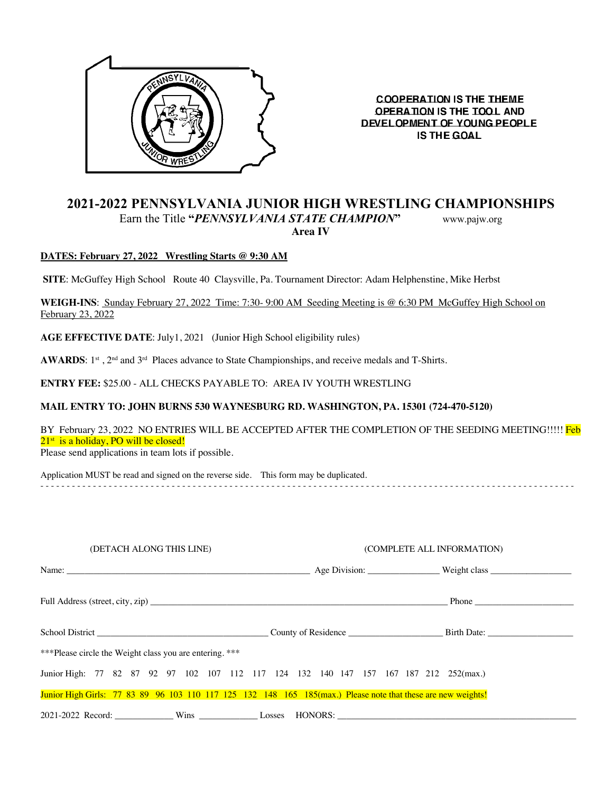

**COOPERATION IS THE THEME OPERATION IS THE TOOL AND** DEVELOPMENT OF YOUNG PEOPLE **IS THE GOAL** 

# **2021-2022 PENNSYLVANIA JUNIOR HIGH WRESTLING CHAMPIONSHIPS** Earn the Title **"***PENNSYLVANIA STATE CHAMPION***"** www.pajw.org **Area IV**

## **DATES: February 27, 2022 Wrestling Starts @ 9:30 AM**

**SITE**: McGuffey High School Route 40 Claysville, Pa. Tournament Director: Adam Helphenstine, Mike Herbst

WEIGH-INS: Sunday February 27, 2022 Time: 7:30- 9:00 AM Seeding Meeting is @ 6:30 PM McGuffey High School on February 23, 2022

AGE EFFECTIVE DATE: July1, 2021 (Junior High School eligibility rules)

AWARDS: 1<sup>st</sup>, 2<sup>nd</sup> and 3<sup>rd</sup> Places advance to State Championships, and receive medals and T-Shirts.

**ENTRY FEE:** \$25.00 - ALL CHECKS PAYABLE TO: AREA IV YOUTH WRESTLING

### **MAIL ENTRY TO: JOHN BURNS 530 WAYNESBURG RD. WASHINGTON, PA. 15301 (724-470-5120)**

BY February 23, 2022 NO ENTRIES WILL BE ACCEPTED AFTER THE COMPLETION OF THE SEEDING MEETING!!!!! Feb  $21<sup>st</sup>$  is a holiday, PO will be closed!

Please send applications in team lots if possible.

Application MUST be read and signed on the reverse side. This form may be duplicated.

- - - - - - - - - - - - - - - - - - - - - - - - - - - - - - - - - - - - - - - - - - - - - - - - - - - - - - - - - - - - - - - - - - - - - - - - - - - - - - - - - - - - - - - - - - - - - - - - - - - - - -

| (DETACH ALONG THIS LINE)                                                                                     | (COMPLETE ALL INFORMATION) |  |
|--------------------------------------------------------------------------------------------------------------|----------------------------|--|
|                                                                                                              |                            |  |
|                                                                                                              |                            |  |
|                                                                                                              |                            |  |
| ***Please circle the Weight class you are entering. ***                                                      |                            |  |
| Junior High: 77 82 87 92 97 102 107 112 117 124 132 140 147 157 167 187 212 252(max.)                        |                            |  |
| Junior High Girls: 77 83 89 96 103 110 117 125 132 148 165 185(max.) Please note that these are new weights! |                            |  |
| 2021-2022 Record: Wins Wins Lesses HONORS: 2021-2022 Record:                                                 |                            |  |